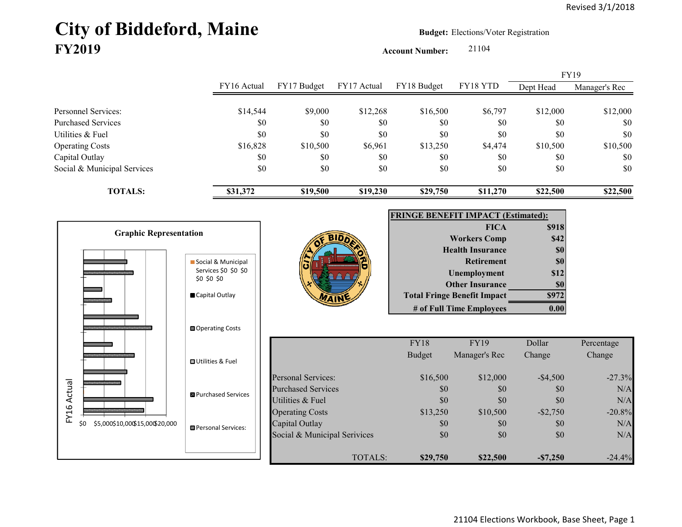# City of Biddeford, Maine **Budget: Elections/Voter Registration FY2019**

**Account Number:** 21104

FY16 Actual FY17 Budget FY17 Actual FY18 Budget FY18 YTD Dept Head Manager's Rec Personnel Services:  $$14,544$   $$9,000$   $$12,268$   $$16,500$   $$6,797$   $$12,000$   $$12,000$ Purchased Services \$0 \$0 \$0 \$0 \$0 \$0 \$0 Utilities & Fuel \$0 \$0 \$0 \$0 \$0 \$0 \$0 Operating Costs 610,500 \$16,828 \$10,500 \$6,961 \$13,250 \$4,474 \$10,500 \$10,500 Capital Outlay \$0 \$0 \$0 \$0 \$0 \$0 Social & Municipal Services \$0 \$0 \$0 \$0 \$0 \$0 \$0 **TOTALS: \$31,372 \$19,500 \$19,230 \$29,750 \$11,270 \$22,500 \$22,500** FY19



| <b>FRINGE BENEFIT IMPACT (Estimated):</b> |       |
|-------------------------------------------|-------|
| <b>FICA</b>                               | \$918 |
| <b>Workers Comp</b>                       | \$42  |
| <b>Health Insurance</b>                   | \$0   |
| <b>Retirement</b>                         | \$0   |
| <b>Unemployment</b>                       | \$12  |
| <b>Other Insurance</b>                    | \$0   |
| <b>Total Fringe Benefit Impact</b>        |       |
| # of Full Time Employees                  |       |

|                              | <b>FY18</b>   | <b>FY19</b>   | Dollar      | Percentage |
|------------------------------|---------------|---------------|-------------|------------|
|                              | <b>Budget</b> | Manager's Rec | Change      | Change     |
| Personal Services:           | \$16,500      | \$12,000      | $-$ \$4,500 | $-27.3%$   |
| <b>Purchased Services</b>    | \$0           | \$0           | \$0         | N/A        |
| Utilities & Fuel             | \$0           | \$0           | \$0         | N/A        |
| <b>Operating Costs</b>       | \$13,250      | \$10,500      | $-$ \$2,750 | $-20.8%$   |
| Capital Outlay               | \$0           | \$0           | \$0         | N/A        |
| Social & Municipal Serivices | \$0           | \$0           | \$0         | N/A        |
| TOTALS:                      | \$29,750      | \$22,500      | $-\$7,250$  | $-24.4%$   |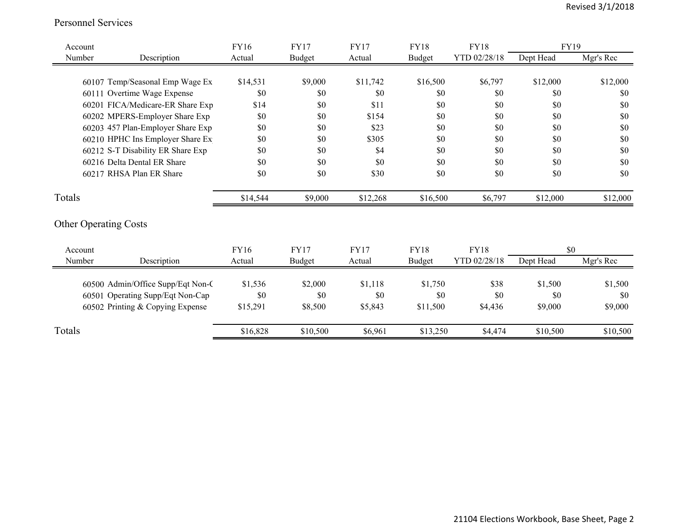#### Personnel Services

| Account |                                   | FY16        | <b>FY17</b>   | <b>FY17</b> | <b>FY18</b>   | <b>FY18</b>  | FY19      |           |
|---------|-----------------------------------|-------------|---------------|-------------|---------------|--------------|-----------|-----------|
| Number  | Description                       | Actual      | <b>Budget</b> | Actual      | <b>Budget</b> | YTD 02/28/18 | Dept Head | Mgr's Rec |
|         |                                   |             |               |             |               |              |           |           |
|         | 60107 Temp/Seasonal Emp Wage Ex   | \$14,531    | \$9,000       | \$11,742    | \$16,500      | \$6,797      | \$12,000  | \$12,000  |
|         | 60111 Overtime Wage Expense       | \$0         | \$0           | \$0         | \$0           | \$0          | \$0       | \$0       |
|         | 60201 FICA/Medicare-ER Share Exp  | \$14        | \$0           | \$11        | \$0           | \$0          | \$0       | \$0       |
|         | 60202 MPERS-Employer Share Exp    | \$0         | \$0           | \$154       | \$0           | \$0          | \$0       | \$0       |
|         | 60203 457 Plan-Employer Share Exp | \$0         | \$0           | \$23        | \$0           | \$0          | \$0       | \$0       |
|         | 60210 HPHC Ins Employer Share Ex  | \$0         | \$0           | \$305       | \$0           | \$0          | \$0       | \$0       |
|         | 60212 S-T Disability ER Share Exp | \$0         | \$0           | \$4         | \$0           | \$0          | \$0       | \$0       |
|         | 60216 Delta Dental ER Share       | \$0         | \$0           | \$0         | \$0           | \$0          | \$0       | \$0       |
|         | 60217 RHSA Plan ER Share          | \$0         | \$0           | \$30        | \$0           | \$0          | \$0       | \$0       |
| Totals  |                                   | \$14,544    | \$9,000       | \$12,268    | \$16,500      | \$6,797      | \$12,000  | \$12,000  |
|         | <b>Other Operating Costs</b>      |             |               |             |               |              |           |           |
| Account |                                   | <b>FY16</b> | <b>FY17</b>   | <b>FY17</b> | <b>FY18</b>   | <b>FY18</b>  | \$0       |           |
| Number  | Description                       | Actual      | Budget        | Actual      | <b>Budget</b> | YTD 02/28/18 | Dept Head | Mgr's Rec |
|         | 60500 Admin/Office Supp/Eqt Non-C | \$1,536     | \$2,000       | \$1,118     | \$1,750       | \$38         | \$1,500   | \$1,500   |
|         | 60501 Operating Supp/Eqt Non-Cap  | \$0         | \$0           | \$0         | \$0           | \$0          | \$0       | \$0       |
|         | 60502 Printing & Copying Expense  | \$15,291    | \$8,500       | \$5,843     | \$11,500      | \$4,436      | \$9,000   | \$9,000   |
| Totals  |                                   | \$16,828    | \$10,500      | \$6,961     | \$13,250      | \$4,474      | \$10,500  | \$10,500  |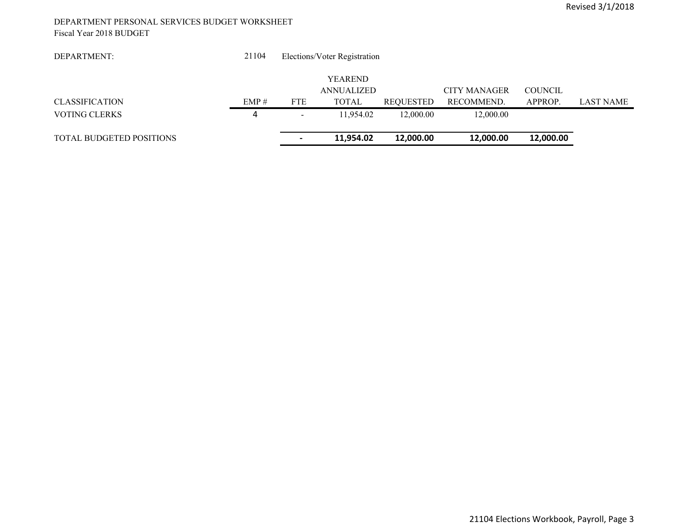#### DEPARTMENT PERSONAL SERVICES BUDGET WORKSHEET Fiscal Year 2018 BUDGET

| DEPARTMENT:                     | 21104 |                          | Elections/Voter Registration |                  |              |           |           |
|---------------------------------|-------|--------------------------|------------------------------|------------------|--------------|-----------|-----------|
|                                 |       |                          | <b>YEAREND</b>               |                  |              |           |           |
|                                 |       |                          | <b>ANNUALIZED</b>            |                  | CITY MANAGER | COUNCIL   |           |
| <b>CLASSIFICATION</b>           | EMP#  | <b>FTE</b>               | <b>TOTAL</b>                 | <b>REQUESTED</b> | RECOMMEND.   | APPROP.   | LAST NAME |
| <b>VOTING CLERKS</b>            |       | $\overline{\phantom{0}}$ | 11.954.02                    | 12,000.00        | 12,000.00    |           |           |
| <b>TOTAL BUDGETED POSITIONS</b> |       |                          | 11,954.02                    | 12,000.00        | 12,000.00    | 12,000.00 |           |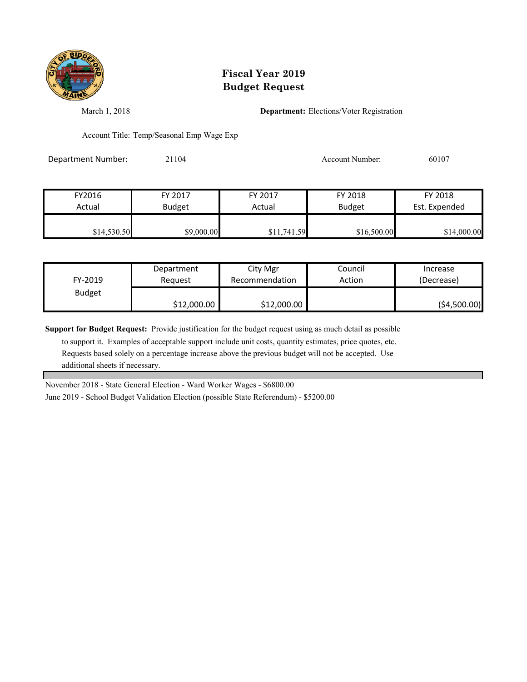

## **Fiscal Year 2019 Budget Request**

March 1, 2018 **Department:** Elections/Voter Registration

Account Title: Temp/Seasonal Emp Wage Exp

Department Number: 21104 21104 Account Number: 60107

| FY2016      | FY 2017       | FY 2017     | FY 2018       | FY 2018       |
|-------------|---------------|-------------|---------------|---------------|
| Actual      | <b>Budget</b> | Actual      | <b>Budget</b> | Est. Expended |
| \$14,530.50 | \$9,000.00    | \$11,741.59 | \$16,500.00   | \$14,000.00   |

| FY-2019       | Department  | City Mgr       | Council | Increase      |
|---------------|-------------|----------------|---------|---------------|
|               | Reauest     | Recommendation | Action  | (Decrease)    |
| <b>Budget</b> | \$12,000.00 | \$12,000.00    |         | ( \$4,500.00] |

**Support for Budget Request:** Provide justification for the budget request using as much detail as possible

 to support it. Examples of acceptable support include unit costs, quantity estimates, price quotes, etc. Requests based solely on a percentage increase above the previous budget will not be accepted. Use additional sheets if necessary.

November 2018 - State General Election - Ward Worker Wages - \$6800.00

June 2019 - School Budget Validation Election (possible State Referendum) - \$5200.00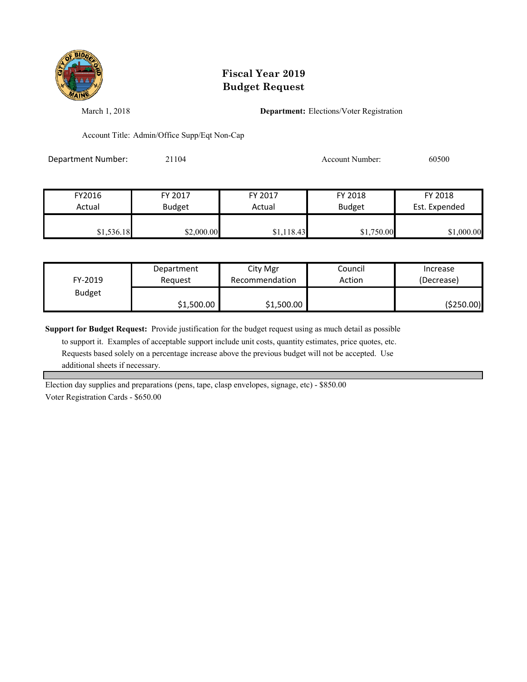

## **Fiscal Year 2019 Budget Request**

March 1, 2018 **Department:** Elections/Voter Registration

Account Title: Admin/Office Supp/Eqt Non-Cap

Department Number: 21104 21104 Account Number: 60500

| FY2016     | FY 2017       | FY 2017    | FY 2018       | FY 2018       |
|------------|---------------|------------|---------------|---------------|
| Actual     | <b>Budget</b> | Actual     | <b>Budget</b> | Est. Expended |
| \$1,536.18 | \$2,000.00    | \$1,118.43 | \$1,750.00    | \$1,000.00    |

| FY-2019       | Department | City Mgr       | Council | Increase   |
|---------------|------------|----------------|---------|------------|
|               | Reauest    | Recommendation | Action  | (Decrease) |
| <b>Budget</b> | \$1,500.00 | \$1,500.00     |         | (\$250.00) |

**Support for Budget Request:** Provide justification for the budget request using as much detail as possible

 to support it. Examples of acceptable support include unit costs, quantity estimates, price quotes, etc. Requests based solely on a percentage increase above the previous budget will not be accepted. Use additional sheets if necessary.

Election day supplies and preparations (pens, tape, clasp envelopes, signage, etc) - \$850.00 Voter Registration Cards - \$650.00